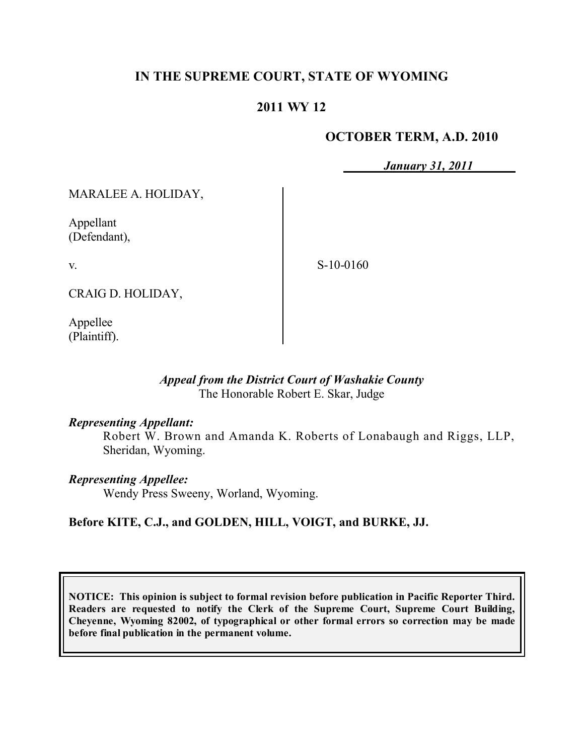## **IN THE SUPREME COURT, STATE OF WYOMING**

## **2011 WY 12**

### **OCTOBER TERM, A.D. 2010**

*January 31, 2011*

MARALEE A. HOLIDAY,

Appellant (Defendant),

v.

S-10-0160

CRAIG D. HOLIDAY,

Appellee (Plaintiff).

### *Appeal from the District Court of Washakie County* The Honorable Robert E. Skar, Judge

#### *Representing Appellant:*

Robert W. Brown and Amanda K. Roberts of Lonabaugh and Riggs, LLP, Sheridan, Wyoming.

#### *Representing Appellee:*

Wendy Press Sweeny, Worland, Wyoming.

#### **Before KITE, C.J., and GOLDEN, HILL, VOIGT, and BURKE, JJ.**

**NOTICE: This opinion is subject to formal revision before publication in Pacific Reporter Third. Readers are requested to notify the Clerk of the Supreme Court, Supreme Court Building, Cheyenne, Wyoming 82002, of typographical or other formal errors so correction may be made before final publication in the permanent volume.**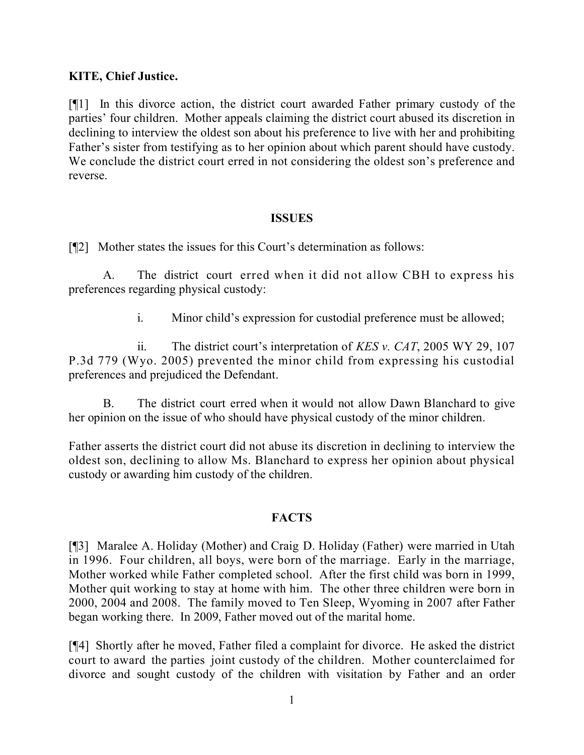## **KITE, Chief Justice.**

[¶1] In this divorce action, the district court awarded Father primary custody of the parties' four children. Mother appeals claiming the district court abused its discretion in declining to interview the oldest son about his preference to live with her and prohibiting Father's sister from testifying as to her opinion about which parent should have custody. We conclude the district court erred in not considering the oldest son's preference and reverse.

## **ISSUES**

[¶2] Mother states the issues for this Court's determination as follows:

A. The district court erred when it did not allow CBH to express his preferences regarding physical custody:

i. Minor child's expression for custodial preference must be allowed;

ii. The district court's interpretation of *KES v. CAT*, 2005 WY 29, 107 P.3d 779 (Wyo. 2005) prevented the minor child from expressing his custodial preferences and prejudiced the Defendant.

B. The district court erred when it would not allow Dawn Blanchard to give her opinion on the issue of who should have physical custody of the minor children.

Father asserts the district court did not abuse its discretion in declining to interview the oldest son, declining to allow Ms. Blanchard to express her opinion about physical custody or awarding him custody of the children.

## **FACTS**

[¶3] Maralee A. Holiday (Mother) and Craig D. Holiday (Father) were married in Utah in 1996. Four children, all boys, were born of the marriage. Early in the marriage, Mother worked while Father completed school. After the first child was born in 1999, Mother quit working to stay at home with him. The other three children were born in 2000, 2004 and 2008. The family moved to Ten Sleep, Wyoming in 2007 after Father began working there. In 2009, Father moved out of the marital home.

[¶4] Shortly after he moved, Father filed a complaint for divorce. He asked the district court to award the parties joint custody of the children. Mother counterclaimed for divorce and sought custody of the children with visitation by Father and an order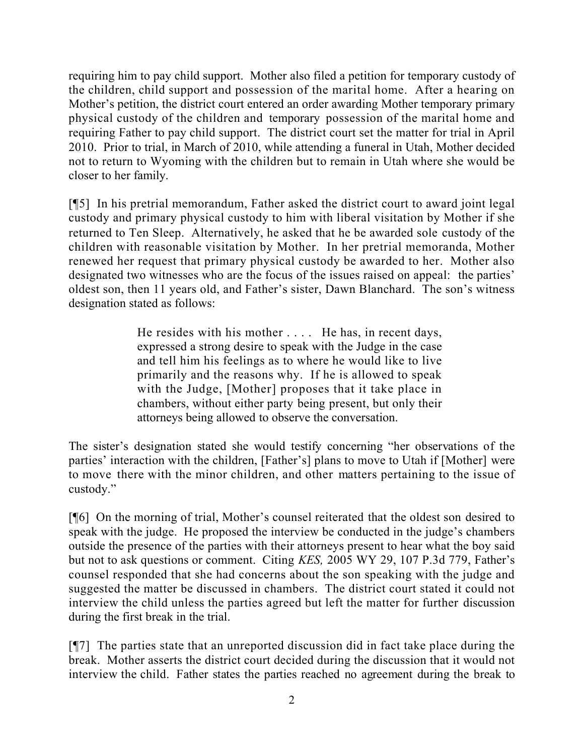requiring him to pay child support. Mother also filed a petition for temporary custody of the children, child support and possession of the marital home. After a hearing on Mother's petition, the district court entered an order awarding Mother temporary primary physical custody of the children and temporary possession of the marital home and requiring Father to pay child support. The district court set the matter for trial in April 2010. Prior to trial, in March of 2010, while attending a funeral in Utah, Mother decided not to return to Wyoming with the children but to remain in Utah where she would be closer to her family.

[¶5] In his pretrial memorandum, Father asked the district court to award joint legal custody and primary physical custody to him with liberal visitation by Mother if she returned to Ten Sleep. Alternatively, he asked that he be awarded sole custody of the children with reasonable visitation by Mother. In her pretrial memoranda, Mother renewed her request that primary physical custody be awarded to her. Mother also designated two witnesses who are the focus of the issues raised on appeal: the parties' oldest son, then 11 years old, and Father's sister, Dawn Blanchard. The son's witness designation stated as follows:

> He resides with his mother . . . . He has, in recent days, expressed a strong desire to speak with the Judge in the case and tell him his feelings as to where he would like to live primarily and the reasons why. If he is allowed to speak with the Judge, [Mother] proposes that it take place in chambers, without either party being present, but only their attorneys being allowed to observe the conversation.

The sister's designation stated she would testify concerning "her observations of the parties' interaction with the children, [Father's] plans to move to Utah if [Mother] were to move there with the minor children, and other matters pertaining to the issue of custody."

[¶6] On the morning of trial, Mother's counsel reiterated that the oldest son desired to speak with the judge. He proposed the interview be conducted in the judge's chambers outside the presence of the parties with their attorneys present to hear what the boy said but not to ask questions or comment. Citing *KES,* 2005 WY 29, 107 P.3d 779, Father's counsel responded that she had concerns about the son speaking with the judge and suggested the matter be discussed in chambers. The district court stated it could not interview the child unless the parties agreed but left the matter for further discussion during the first break in the trial.

[¶7] The parties state that an unreported discussion did in fact take place during the break. Mother asserts the district court decided during the discussion that it would not interview the child. Father states the parties reached no agreement during the break to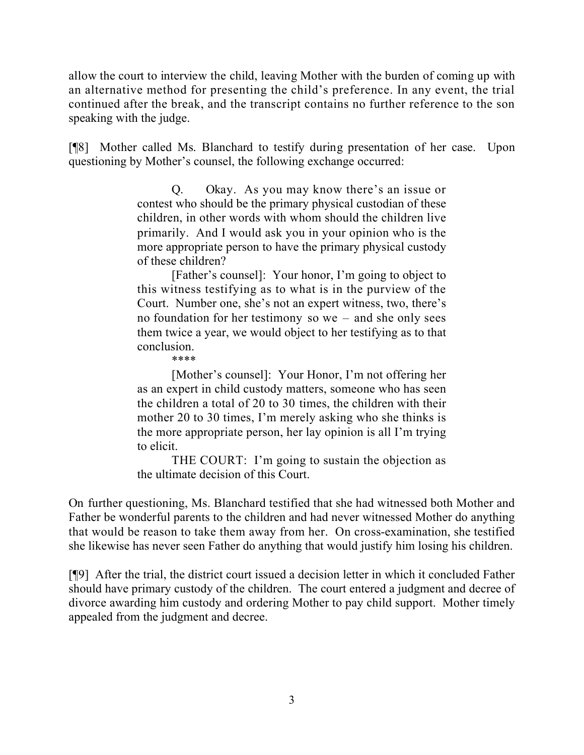allow the court to interview the child, leaving Mother with the burden of coming up with an alternative method for presenting the child's preference. In any event, the trial continued after the break, and the transcript contains no further reference to the son speaking with the judge.

[¶8] Mother called Ms. Blanchard to testify during presentation of her case. Upon questioning by Mother's counsel, the following exchange occurred:

> Q. Okay. As you may know there's an issue or contest who should be the primary physical custodian of these children, in other words with whom should the children live primarily. And I would ask you in your opinion who is the more appropriate person to have the primary physical custody of these children?

> [Father's counsel]: Your honor, I'm going to object to this witness testifying as to what is in the purview of the Court. Number one, she's not an expert witness, two, there's no foundation for her testimony so we – and she only sees them twice a year, we would object to her testifying as to that conclusion.

\*\*\*\*

[Mother's counsel]: Your Honor, I'm not offering her as an expert in child custody matters, someone who has seen the children a total of 20 to 30 times, the children with their mother 20 to 30 times, I'm merely asking who she thinks is the more appropriate person, her lay opinion is all I'm trying to elicit.

THE COURT: I'm going to sustain the objection as the ultimate decision of this Court.

On further questioning, Ms. Blanchard testified that she had witnessed both Mother and Father be wonderful parents to the children and had never witnessed Mother do anything that would be reason to take them away from her. On cross-examination, she testified she likewise has never seen Father do anything that would justify him losing his children.

[¶9] After the trial, the district court issued a decision letter in which it concluded Father should have primary custody of the children. The court entered a judgment and decree of divorce awarding him custody and ordering Mother to pay child support. Mother timely appealed from the judgment and decree.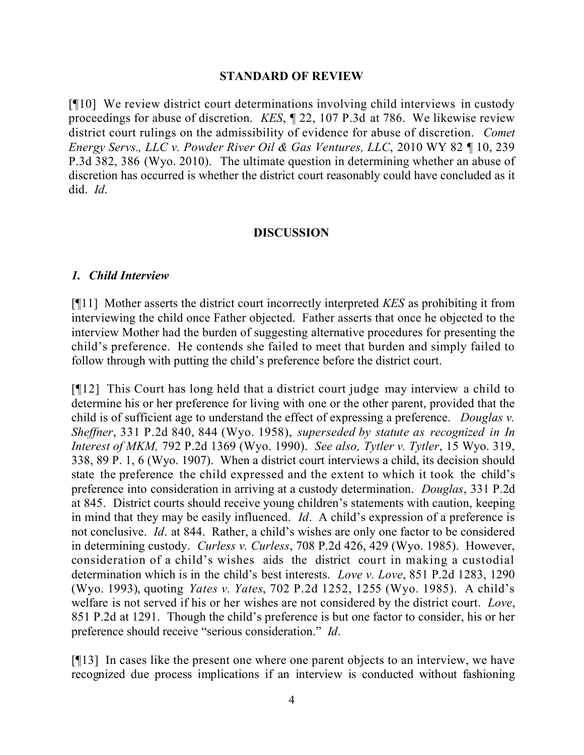#### **STANDARD OF REVIEW**

[¶10] We review district court determinations involving child interviews in custody proceedings for abuse of discretion. *KES*, ¶ 22, 107 P.3d at 786. We likewise review district court rulings on the admissibility of evidence for abuse of discretion. *Comet Energy Servs., LLC v. Powder River Oil & Gas Ventures, LLC*, 2010 WY 82 ¶ 10, 239 P.3d 382, 386 (Wyo. 2010). The ultimate question in determining whether an abuse of discretion has occurred is whether the district court reasonably could have concluded as it did. *Id*.

#### **DISCUSSION**

### *1. Child Interview*

[¶11] Mother asserts the district court incorrectly interpreted *KES* as prohibiting it from interviewing the child once Father objected. Father asserts that once he objected to the interview Mother had the burden of suggesting alternative procedures for presenting the child's preference. He contends she failed to meet that burden and simply failed to follow through with putting the child's preference before the district court.

[¶12] This Court has long held that a district court judge may interview a child to determine his or her preference for living with one or the other parent, provided that the child is of sufficient age to understand the effect of expressing a preference. *Douglas v. Sheffner*, 331 P.2d 840, 844 (Wyo. 1958), *superseded by statute as recognized in In Interest of MKM,* 792 P.2d 1369 (Wyo. 1990). *See also, Tytler v. Tytler*, 15 Wyo. 319, 338, 89 P. 1, 6 (Wyo. 1907). When a district court interviews a child, its decision should state the preference the child expressed and the extent to which it took the child's preference into consideration in arriving at a custody determination. *Douglas*, 331 P.2d at 845. District courts should receive young children's statements with caution, keeping in mind that they may be easily influenced. *Id*. A child's expression of a preference is not conclusive. *Id*. at 844. Rather, a child's wishes are only one factor to be considered in determining custody. *Curless v. Curless*, 708 P.2d 426, 429 (Wyo. 1985). However, consideration of a child's wishes aids the district court in making a custodial determination which is in the child's best interests. *Love v. Love*, 851 P.2d 1283, 1290 (Wyo. 1993), quoting *Yates v. Yates*, 702 P.2d 1252, 1255 (Wyo. 1985). A child's welfare is not served if his or her wishes are not considered by the district court. *Love*, 851 P.2d at 1291. Though the child's preference is but one factor to consider, his or her preference should receive "serious consideration." *Id*.

[¶13] In cases like the present one where one parent objects to an interview, we have recognized due process implications if an interview is conducted without fashioning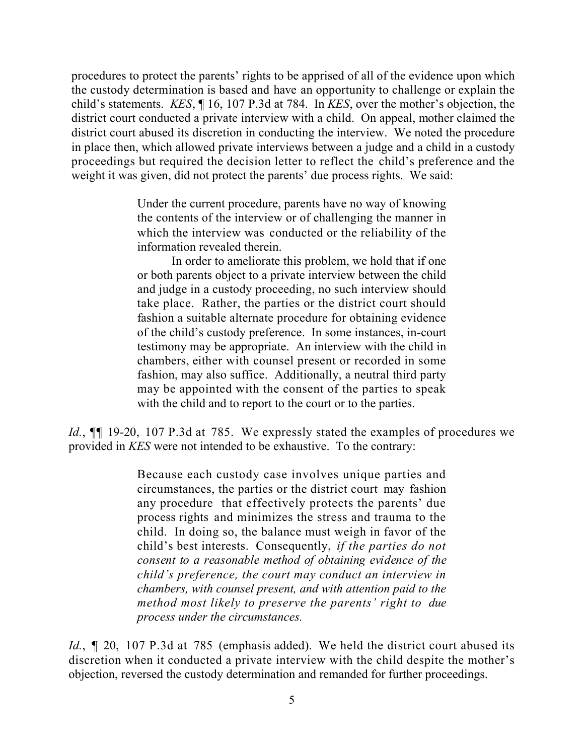procedures to protect the parents' rights to be apprised of all of the evidence upon which the custody determination is based and have an opportunity to challenge or explain the child's statements. *KES*, ¶ 16, 107 P.3d at 784. In *KES*, over the mother's objection, the district court conducted a private interview with a child. On appeal, mother claimed the district court abused its discretion in conducting the interview. We noted the procedure in place then, which allowed private interviews between a judge and a child in a custody proceedings but required the decision letter to reflect the child's preference and the weight it was given, did not protect the parents' due process rights. We said:

> Under the current procedure, parents have no way of knowing the contents of the interview or of challenging the manner in which the interview was conducted or the reliability of the information revealed therein.

> In order to ameliorate this problem, we hold that if one or both parents object to a private interview between the child and judge in a custody proceeding, no such interview should take place. Rather, the parties or the district court should fashion a suitable alternate procedure for obtaining evidence of the child's custody preference. In some instances, in-court testimony may be appropriate. An interview with the child in chambers, either with counsel present or recorded in some fashion, may also suffice. Additionally, a neutral third party may be appointed with the consent of the parties to speak with the child and to report to the court or to the parties.

*Id.*, ¶¶ 19-20, 107 P.3d at 785. We expressly stated the examples of procedures we provided in *KES* were not intended to be exhaustive. To the contrary:

> Because each custody case involves unique parties and circumstances, the parties or the district court may fashion any procedure that effectively protects the parents' due process rights and minimizes the stress and trauma to the child. In doing so, the balance must weigh in favor of the child's best interests. Consequently, *if the parties do not consent to a reasonable method of obtaining evidence of the child's preference, the court may conduct an interview in chambers, with counsel present, and with attention paid to the method most likely to preserve the parents' right to due process under the circumstances.*

*Id.*, ¶ 20, 107 P.3d at 785 (emphasis added). We held the district court abused its discretion when it conducted a private interview with the child despite the mother's objection, reversed the custody determination and remanded for further proceedings.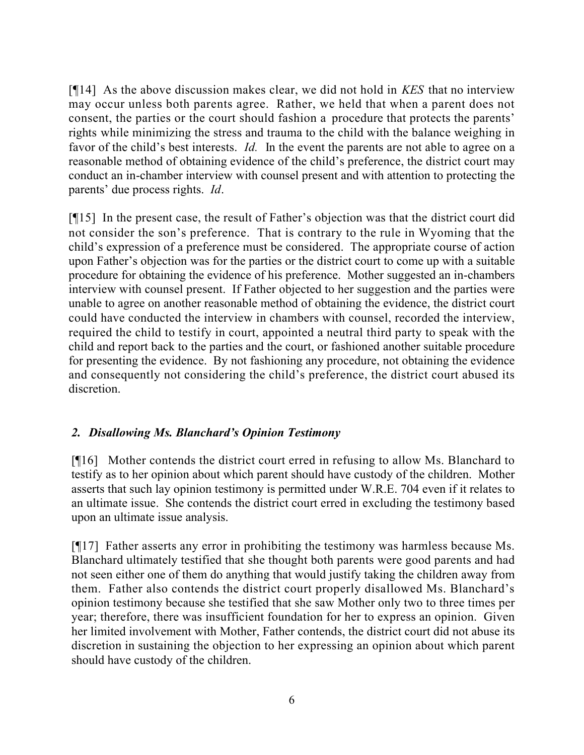[¶14] As the above discussion makes clear, we did not hold in *KES* that no interview may occur unless both parents agree. Rather, we held that when a parent does not consent, the parties or the court should fashion a procedure that protects the parents' rights while minimizing the stress and trauma to the child with the balance weighing in favor of the child's best interests. *Id.* In the event the parents are not able to agree on a reasonable method of obtaining evidence of the child's preference, the district court may conduct an in-chamber interview with counsel present and with attention to protecting the parents' due process rights. *Id*.

[¶15] In the present case, the result of Father's objection was that the district court did not consider the son's preference. That is contrary to the rule in Wyoming that the child's expression of a preference must be considered. The appropriate course of action upon Father's objection was for the parties or the district court to come up with a suitable procedure for obtaining the evidence of his preference. Mother suggested an in-chambers interview with counsel present. If Father objected to her suggestion and the parties were unable to agree on another reasonable method of obtaining the evidence, the district court could have conducted the interview in chambers with counsel, recorded the interview, required the child to testify in court, appointed a neutral third party to speak with the child and report back to the parties and the court, or fashioned another suitable procedure for presenting the evidence. By not fashioning any procedure, not obtaining the evidence and consequently not considering the child's preference, the district court abused its discretion.

# *2. Disallowing Ms. Blanchard's Opinion Testimony*

[¶16] Mother contends the district court erred in refusing to allow Ms. Blanchard to testify as to her opinion about which parent should have custody of the children. Mother asserts that such lay opinion testimony is permitted under W.R.E. 704 even if it relates to an ultimate issue. She contends the district court erred in excluding the testimony based upon an ultimate issue analysis.

[¶17] Father asserts any error in prohibiting the testimony was harmless because Ms. Blanchard ultimately testified that she thought both parents were good parents and had not seen either one of them do anything that would justify taking the children away from them. Father also contends the district court properly disallowed Ms. Blanchard's opinion testimony because she testified that she saw Mother only two to three times per year; therefore, there was insufficient foundation for her to express an opinion. Given her limited involvement with Mother, Father contends, the district court did not abuse its discretion in sustaining the objection to her expressing an opinion about which parent should have custody of the children.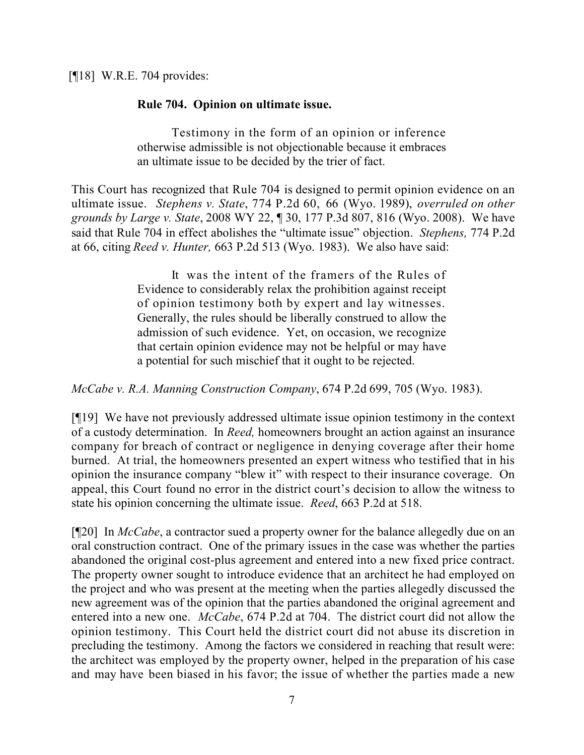[¶18] W.R.E. 704 provides:

### **Rule 704. Opinion on ultimate issue.**

Testimony in the form of an opinion or inference otherwise admissible is not objectionable because it embraces an ultimate issue to be decided by the trier of fact.

This Court has recognized that Rule 704 is designed to permit opinion evidence on an ultimate issue. *Stephens v. State*, 774 P.2d 60, 66 (Wyo. 1989), *overruled on other grounds by Large v. State*, 2008 WY 22, ¶ 30, 177 P.3d 807, 816 (Wyo. 2008). We have said that Rule 704 in effect abolishes the "ultimate issue" objection. *Stephens,* 774 P.2d at 66, citing *Reed v. Hunter,* 663 P.2d 513 (Wyo. 1983).We also have said:

> It was the intent of the framers of the Rules of Evidence to considerably relax the prohibition against receipt of opinion testimony both by expert and lay witnesses. Generally, the rules should be liberally construed to allow the admission of such evidence. Yet, on occasion, we recognize that certain opinion evidence may not be helpful or may have a potential for such mischief that it ought to be rejected.

*McCabe v. R.A. Manning Construction Company*, 674 P.2d 699, 705 (Wyo. 1983).

[¶19] We have not previously addressed ultimate issue opinion testimony in the context of a custody determination. In *Reed,* homeowners brought an action against an insurance company for breach of contract or negligence in denying coverage after their home burned. At trial, the homeowners presented an expert witness who testified that in his opinion the insurance company "blew it" with respect to their insurance coverage. On appeal, this Court found no error in the district court's decision to allow the witness to state his opinion concerning the ultimate issue. *Reed*, 663 P.2d at 518.

[¶20] In *McCabe*, a contractor sued a property owner for the balance allegedly due on an oral construction contract. One of the primary issues in the case was whether the parties abandoned the original cost-plus agreement and entered into a new fixed price contract. The property owner sought to introduce evidence that an architect he had employed on the project and who was present at the meeting when the parties allegedly discussed the new agreement was of the opinion that the parties abandoned the original agreement and entered into a new one. *McCabe*, 674 P.2d at 704. The district court did not allow the opinion testimony. This Court held the district court did not abuse its discretion in precluding the testimony. Among the factors we considered in reaching that result were: the architect was employed by the property owner, helped in the preparation of his case and may have been biased in his favor; the issue of whether the parties made a new